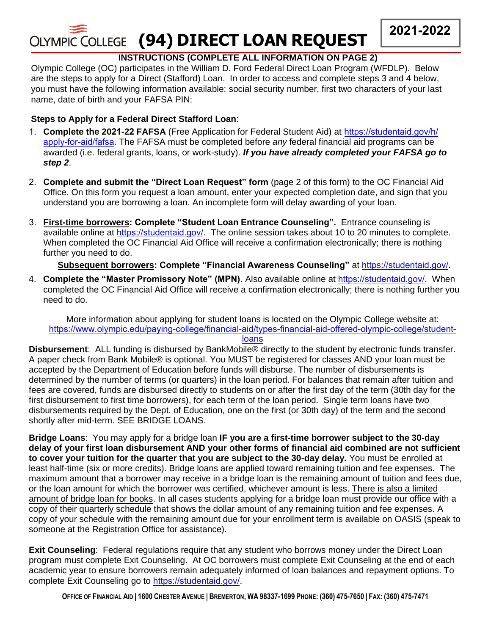

# **INSTRUCTIONS (COMPLETE ALL INFORMATION ON PAGE 2)**

Olympic College (OC) participates in the William D. Ford Federal Direct Loan Program (WFDLP). Below are the steps to apply for a Direct (Stafford) Loan. In order to access and complete steps 3 and 4 below, you must have the following information available: social security number, first two characters of your last name, date of birth and your FAFSA PIN:

## **Steps to Apply for a Federal Direct Stafford Loan**:

- 1. **Complete the 2021-22 FAFSA** [\(Free Application for Federal Student Aid\) at](http://www.fafsa.ed.gov/) https://studentaid.gov/h/ apply-for-aid/fafsa. The FAFSA must be completed before *any* federal financial aid programs can be awarded (i.e. federal grants, loans, or work-study). *If you have already completed your FAFSA go to step 2*.
- 2. **Complete and submit the "Direct [Loan Request" form](http://www.olympic.edu/Students/GettingStarted/FinancialAid/Forms.htm)** (page 2 of this form) to the OC Financial Aid Office. On this form you request a loan amount, enter your expected completion date, and sign that you understand you are borrowing a loan. An incomplete form will delay awarding of your loan.
- 3. **First-time borrowers: Complete "Student [Loan Entrance Counseling"](http://www.nela.net/loancounseling/default.asp?nav_section=12).** Entrance counseling is available online at [https://studentaid.gov/](http://www.studentloans.gov/). The online session takes about 10 to 20 minutes to complete. When completed the OC Financial Aid Office will receive a confirmation electronically; there is nothing further you need to do.

### **Subsequent borrowers: Complete "Financial Awareness Counseling"** at [https://studentaid.gov/](http://www.studentloans.gov/)**.**

4. **Complete the "Master Promissory Note" (MPN)**. Also available online at [https://studentaid.gov/](http://www.studentloans.gov/). When completed the OC Financial Aid Office will receive a confirmation electronically; there is nothing further you need to do.

More information about applying for student loans is located on the Olympic College website at: [https://www.olym](https://www.olympic.edu/paying-college/financial-aid/types-financial-aid-offered-olympic-college/student-loansDisbursement:)[pic.edu/paying-college/financial-aid/types-financial-aid-offered-olympic-](http://www.olympic.edu/Students/GettingStarted/FinancialAid/Loans.htm)[college/student-](https://www.olympic.edu/paying-college/financial-aid/types-financial-aid-offered-olympic-college/student-loansDisbursement:)

### loans

**[Disbursement](https://www.olympic.edu/paying-college/financial-aid/types-financial-aid-offered-olympic-college/student-loansDisbursement:)**: ALL funding is disbursed by BankMobile® directly to the student by electronic funds transfer. A paper check from Bank Mobile® is optional. You MUST be registered for classes AND your loan must be accepted by the Department of Education before funds will disburse. The number of disbursements is determined by the number of terms (or quarters) in the loan period. For balances that remain after tuition and fees are covered, funds are disbursed directly to students on or after the first day of the term (30th day for the first disbursement to first time borrowers), for each term of the loan period. Single term loans have two disbursements required by the Dept. of Education, one on the first (or 30th day) of the term and the second shortly after mid-term. SEE BRIDGE LOANS.

**Bridge Loans**: You may apply for a bridge loan **IF you are a first-time borrower subject to the 30-day delay of your first loan disbursement AND your other forms of financial aid combined are not sufficient to cover your tuition for the quarter that you are subject to the 30-day delay.** You must be enrolled at least half-time (six or more credits). Bridge loans are applied toward remaining tuition and fee expenses. The maximum amount that a borrower may receive in a bridge loan is the remaining amount of tuition and fees due, or the loan amount for which the borrower was certified, whichever amount is less. There is also a limited amount of bridge loan for books. In all cases students applying for a bridge loan must provide our office with a copy of their quarterly schedule that shows the dollar amount of any remaining tuition and fee expenses. A copy of your schedule with the remaining amount due for your enrollment term is available on OASIS (speak to someone at the Registration Office for assistance).

**Exit Counseling**: Federal regulations require that any student who borrows money under the Direct Loan program must complete [Exit Counseling.](http://www.nela.net/loancounseling/default.asp?nav_section=12) At OC borrowers must complete Exit Counseling at the end of each academic year to ensure borrowers remain adequately informed of loan balances and repayment options. To complete Exit Counseling go to [https://studentaid.gov/](http://www.studentloans.gov/).